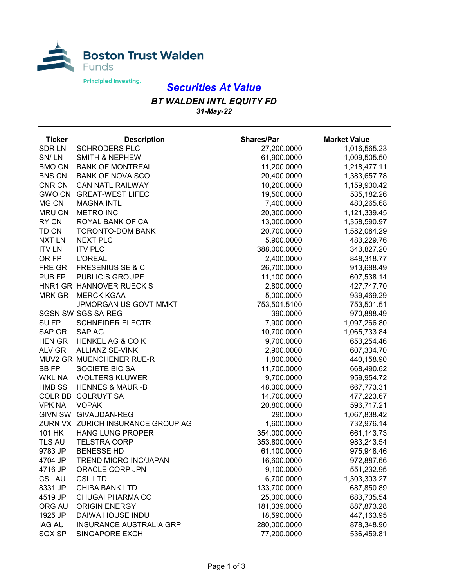

## *Securities At Value*

## *BT WALDEN INTL EQUITY FD 31-May-22*

| <b>Ticker</b> | <b>Description</b>                | <b>Shares/Par</b> | <b>Market Value</b> |
|---------------|-----------------------------------|-------------------|---------------------|
| <b>SDRLN</b>  | <b>SCHRODERS PLC</b>              | 27,200.0000       | 1,016,565.23        |
| SN/LN         | <b>SMITH &amp; NEPHEW</b>         | 61,900.0000       | 1,009,505.50        |
| <b>BMO CN</b> | <b>BANK OF MONTREAL</b>           | 11,200.0000       | 1,218,477.11        |
| <b>BNS CN</b> | <b>BANK OF NOVA SCO</b>           | 20,400.0000       | 1,383,657.78        |
| CNR CN        | <b>CAN NATL RAILWAY</b>           | 10,200.0000       | 1,159,930.42        |
| <b>GWO CN</b> | <b>GREAT-WEST LIFEC</b>           | 19,500.0000       | 535,182.26          |
| MG CN         | <b>MAGNA INTL</b>                 | 7,400.0000        | 480,265.68          |
| <b>MRU CN</b> | <b>METRO INC</b>                  | 20,300.0000       | 1,121,339.45        |
| RY CN         | ROYAL BANK OF CA                  | 13,000.0000       | 1,358,590.97        |
| TD CN         | <b>TORONTO-DOM BANK</b>           | 20,700.0000       | 1,582,084.29        |
| <b>NXT LN</b> | <b>NEXT PLC</b>                   | 5,900.0000        | 483,229.76          |
| <b>ITV LN</b> | <b>ITV PLC</b>                    | 388,000.0000      | 343,827.20          |
| OR FP         | <b>L'OREAL</b>                    | 2,400.0000        | 848,318.77          |
| FRE GR        | <b>FRESENIUS SE &amp; C</b>       | 26,700.0000       | 913,688.49          |
| PUB FP        | <b>PUBLICIS GROUPE</b>            | 11,100.0000       | 607,538.14          |
|               | HNR1 GR HANNOVER RUECK S          | 2,800.0000        | 427,747.70          |
| <b>MRK GR</b> | <b>MERCK KGAA</b>                 | 5,000.0000        | 939,469.29          |
|               | JPMORGAN US GOVT MMKT             | 753,501.5100      | 753,501.51          |
|               | <b>SGSN SW SGS SA-REG</b>         | 390.0000          | 970,888.49          |
| SU FP         | <b>SCHNEIDER ELECTR</b>           | 7,900.0000        | 1,097,266.80        |
| SAP GR        | <b>SAP AG</b>                     | 10,700.0000       | 1,065,733.84        |
| <b>HEN GR</b> | <b>HENKEL AG &amp; CO K</b>       | 9,700.0000        | 653,254.46          |
| ALV GR        | <b>ALLIANZ SE-VINK</b>            | 2,900.0000        | 607,334.70          |
|               | MUV2 GR MUENCHENER RUE-R          | 1,800.0000        | 440,158.90          |
| <b>BBFP</b>   | SOCIETE BIC SA                    | 11,700.0000       | 668,490.62          |
| <b>WKL NA</b> | <b>WOLTERS KLUWER</b>             | 9,700.0000        | 959,954.72          |
| <b>HMB SS</b> | <b>HENNES &amp; MAURI-B</b>       | 48,300.0000       | 667,773.31          |
|               | COLR BB COLRUYT SA                | 14,700.0000       | 477,223.67          |
| <b>VPK NA</b> | <b>VOPAK</b>                      | 20,800.0000       | 596,717.21          |
|               | GIVN SW GIVAUDAN-REG              | 290.0000          | 1,067,838.42        |
|               | ZURN VX ZURICH INSURANCE GROUP AG | 1,600.0000        | 732,976.14          |
| 101 HK        | <b>HANG LUNG PROPER</b>           | 354,000.0000      | 661,143.73          |
| TLS AU        | <b>TELSTRA CORP</b>               | 353,800.0000      | 983,243.54          |
| 9783 JP       | <b>BENESSE HD</b>                 | 61,100.0000       | 975,948.46          |
| 4704 JP       | <b>TREND MICRO INC/JAPAN</b>      | 16,600.0000       | 972,887.66          |
| 4716 JP       | ORACLE CORP JPN                   | 9,100.0000        | 551,232.95          |
| <b>CSL AU</b> | <b>CSL LTD</b>                    | 6,700.0000        | 1,303,303.27        |
| 8331 JP       | <b>CHIBA BANK LTD</b>             | 133,700.0000      | 687,850.89          |
| 4519 JP       | <b>CHUGAI PHARMA CO</b>           | 25,000.0000       | 683,705.54          |
| ORG AU        | <b>ORIGIN ENERGY</b>              | 181,339.0000      | 887,873.28          |
| 1925 JP       | DAIWA HOUSE INDU                  | 18,590.0000       | 447,163.95          |
| <b>IAG AU</b> | <b>INSURANCE AUSTRALIA GRP</b>    | 280,000.0000      | 878,348.90          |
| <b>SGX SP</b> | SINGAPORE EXCH                    | 77,200.0000       | 536,459.81          |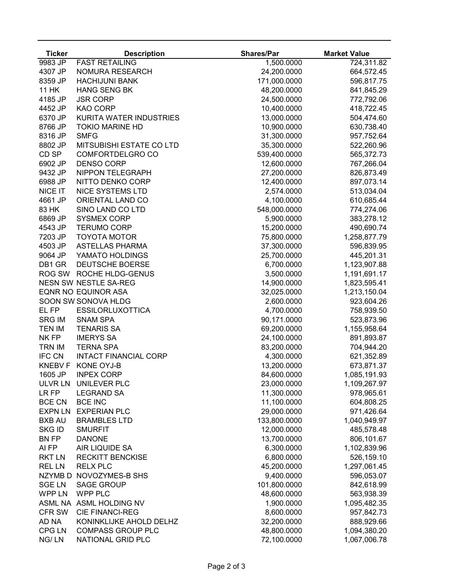| <b>Ticker</b>        | <b>Description</b>             | <b>Shares/Par</b> | <b>Market Value</b> |
|----------------------|--------------------------------|-------------------|---------------------|
| $\overline{9983}$ JP | <b>FAST RETAILING</b>          | 1,500.0000        | 724,311.82          |
| 4307 JP              | NOMURA RESEARCH                | 24,200.0000       | 664,572.45          |
| 8359 JP              | <b>HACHIJUNI BANK</b>          | 171,000.0000      | 596,817.75          |
| <b>11 HK</b>         | <b>HANG SENG BK</b>            | 48,200.0000       | 841,845.29          |
| 4185 JP              | <b>JSR CORP</b>                | 24,500.0000       | 772,792.06          |
| 4452 JP              | <b>KAO CORP</b>                | 10,400.0000       | 418,722.45          |
| 6370 JP              | <b>KURITA WATER INDUSTRIES</b> | 13,000.0000       | 504,474.60          |
| 8766 JP              | <b>TOKIO MARINE HD</b>         | 10,900.0000       | 630,738.40          |
| 8316 JP              | <b>SMFG</b>                    | 31,300.0000       | 957,752.64          |
| 8802 JP              | MITSUBISHI ESTATE CO LTD       | 35,300.0000       | 522,260.96          |
| CD SP                | COMFORTDELGRO CO               | 539,400.0000      | 565,372.73          |
| 6902 JP              | <b>DENSO CORP</b>              | 12,600.0000       | 767,266.04          |
| 9432 JP              | NIPPON TELEGRAPH               | 27,200.0000       | 826,873.49          |
| 6988 JP              | NITTO DENKO CORP               | 12,400.0000       | 897,073.14          |
| NICE IT              | <b>NICE SYSTEMS LTD</b>        | 2,574.0000        | 513,034.04          |
| 4661 JP              | <b>ORIENTAL LAND CO</b>        | 4,100.0000        | 610,685.44          |
| 83 HK                | SINO LAND CO LTD               | 548,000.0000      | 774,274.06          |
| 6869 JP              | <b>SYSMEX CORP</b>             | 5,900.0000        | 383,278.12          |
| 4543 JP              | <b>TERUMO CORP</b>             | 15,200.0000       | 490,690.74          |
| 7203 JP              | <b>TOYOTA MOTOR</b>            | 75,800.0000       | 1,258,877.79        |
| 4503 JP              | <b>ASTELLAS PHARMA</b>         | 37,300.0000       | 596,839.95          |
| 9064 JP              | YAMATO HOLDINGS                | 25,700.0000       | 445,201.31          |
| DB1 GR               | DEUTSCHE BOERSE                | 6,700.0000        | 1,123,907.88        |
| ROG SW               | ROCHE HLDG-GENUS               | 3,500.0000        | 1,191,691.17        |
|                      | <b>NESN SW NESTLE SA-REG</b>   | 14,900.0000       | 1,823,595.41        |
|                      | <b>EQNR NO EQUINOR ASA</b>     | 32,025.0000       | 1,213,150.04        |
|                      | SOON SW SONOVA HLDG            | 2,600.0000        | 923,604.26          |
| EL FP                | <b>ESSILORLUXOTTICA</b>        | 4,700.0000        | 758,939.50          |
| <b>SRG IM</b>        | <b>SNAM SPA</b>                | 90,171.0000       | 523,873.96          |
| <b>TEN IM</b>        | <b>TENARIS SA</b>              | 69,200.0000       | 1,155,958.64        |
| NK FP                | <b>IMERYS SA</b>               | 24,100.0000       | 891,893.87          |
| <b>TRN IM</b>        | <b>TERNA SPA</b>               | 83,200.0000       | 704,944.20          |
| <b>IFC CN</b>        | <b>INTACT FINANCIAL CORP</b>   | 4,300.0000        | 621,352.89          |
| <b>KNEBV F</b>       | KONE OYJ-B                     | 13,200.0000       | 673,871.37          |
| 1605 JP              | <b>INPEX CORP</b>              | 84,600.0000       | 1,085,191.93        |
| <b>ULVRLN</b>        | UNILEVER PLC                   | 23,000.0000       | 1,109,267.97        |
| LR FP                | <b>LEGRAND SA</b>              | 11,300.0000       | 978,965.61          |
| <b>BCE CN</b>        | <b>BCE INC</b>                 | 11,100.0000       | 604,808.25          |
| <b>EXPN LN</b>       | <b>EXPERIAN PLC</b>            | 29,000.0000       | 971,426.64          |
| <b>BXB AU</b>        | <b>BRAMBLES LTD</b>            | 133,800.0000      | 1,040,949.97        |
| <b>SKG ID</b>        | <b>SMURFIT</b>                 | 12,000.0000       | 485,578.48          |
| <b>BN FP</b>         | <b>DANONE</b>                  | 13,700.0000       | 806,101.67          |
| AI FP                | AIR LIQUIDE SA                 | 6,300.0000        | 1,102,839.96        |
| <b>RKT LN</b>        | <b>RECKITT BENCKISE</b>        | 6,800.0000        | 526,159.10          |
| <b>REL LN</b>        | <b>RELX PLC</b>                | 45,200.0000       | 1,297,061.45        |
| NZYMB <sub>D</sub>   | NOVOZYMES-B SHS                | 9,400.0000        | 596,053.07          |
| <b>SGE LN</b>        | <b>SAGE GROUP</b>              | 101,800.0000      | 842,618.99          |
| <b>WPP LN</b>        | WPP PLC                        | 48,600.0000       | 563,938.39          |
|                      | ASML NA ASML HOLDING NV        | 1,900.0000        | 1,095,482.35        |
| <b>CFR SW</b>        | <b>CIE FINANCI-REG</b>         | 8,600.0000        | 957,842.73          |
| AD NA                | KONINKLIJKE AHOLD DELHZ        | 32,200.0000       | 888,929.66          |
| <b>CPG LN</b>        | <b>COMPASS GROUP PLC</b>       | 48,800.0000       | 1,094,380.20        |
| NG/LN                | NATIONAL GRID PLC              | 72,100.0000       | 1,067,006.78        |